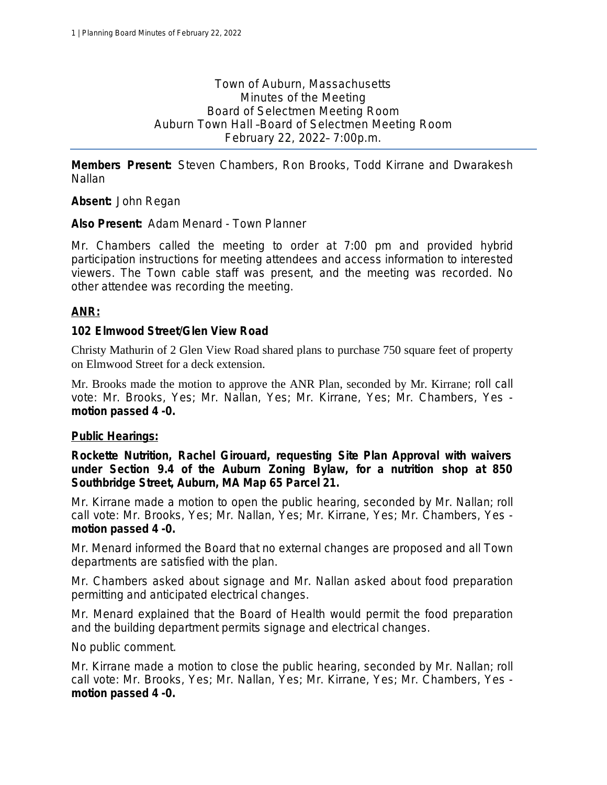Town of Auburn, Massachusetts Minutes of the Meeting Board of Selectmen Meeting Room Auburn Town Hall –Board of Selectmen Meeting Room February 22, 2022– 7:00p.m.

**Members Present:** Steven Chambers, Ron Brooks, Todd Kirrane and Dwarakesh Nallan

**Absent:** John Regan

**Also Present:** Adam Menard - Town Planner

Mr. Chambers called the meeting to order at 7:00 pm and provided hybrid participation instructions for meeting attendees and access information to interested viewers. The Town cable staff was present, and the meeting was recorded. No other attendee was recording the meeting.

### **ANR:**

### **102 Elmwood Street/Glen View Road**

Christy Mathurin of 2 Glen View Road shared plans to purchase 750 square feet of property on Elmwood Street for a deck extension.

Mr. Brooks made the motion to approve the ANR Plan, seconded by Mr. Kirrane; *roll call vote: Mr. Brooks, Yes; Mr. Nallan, Yes; Mr. Kirrane, Yes; Mr. Chambers, Yes motion passed 4 -0.*

#### **Public Hearings:**

**Rockette Nutrition, Rachel Girouard, requesting Site Plan Approval with waivers under Section 9.4 of the Auburn Zoning Bylaw, for a nutrition shop at 850 Southbridge Street, Auburn, MA Map 65 Parcel 21.**

Mr. Kirrane made a motion to open the public hearing, seconded by Mr. Nallan; *roll call vote: Mr. Brooks, Yes; Mr. Nallan, Yes; Mr. Kirrane, Yes; Mr. Chambers, Yes motion passed 4 -0.*

Mr. Menard informed the Board that no external changes are proposed and all Town departments are satisfied with the plan.

Mr. Chambers asked about signage and Mr. Nallan asked about food preparation permitting and anticipated electrical changes.

Mr. Menard explained that the Board of Health would permit the food preparation and the building department permits signage and electrical changes.

No public comment.

Mr. Kirrane made a motion to close the public hearing, seconded by Mr. Nallan; *roll call vote: Mr. Brooks, Yes; Mr. Nallan, Yes; Mr. Kirrane, Yes; Mr. Chambers, Yes motion passed 4 -0.*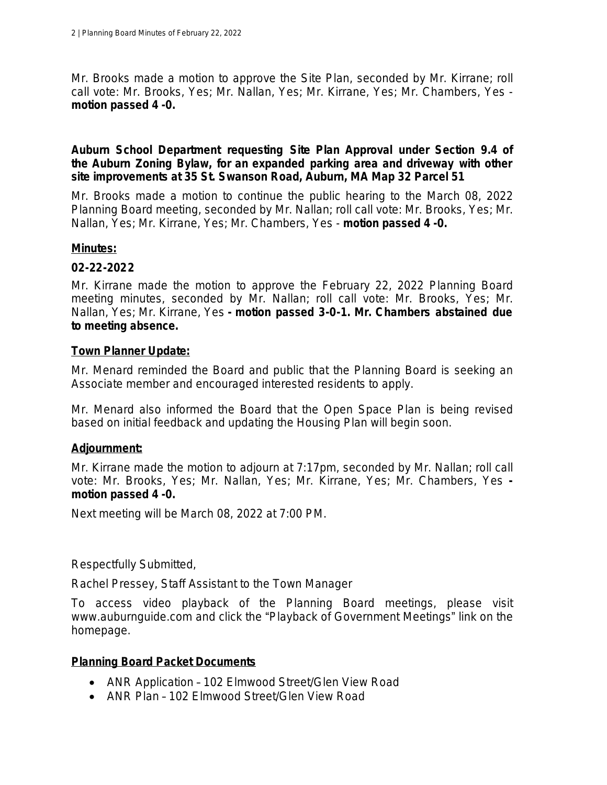Mr. Brooks made a motion to approve the Site Plan, seconded by Mr. Kirrane; *roll call vote: Mr. Brooks, Yes; Mr. Nallan, Yes; Mr. Kirrane, Yes; Mr. Chambers, Yes motion passed 4 -0.*

### **Auburn School Department requesting Site Plan Approval under Section 9.4 of the Auburn Zoning Bylaw, for an expanded parking area and driveway with other site improvements at 35 St. Swanson Road, Auburn, MA Map 32 Parcel 51**

Mr. Brooks made a motion to continue the public hearing to the March 08, 2022 Planning Board meeting, seconded by Mr. Nallan; *roll call vote: Mr. Brooks, Yes; Mr. Nallan, Yes; Mr. Kirrane, Yes; Mr. Chambers, Yes* - *motion passed 4 -0.*

### **Minutes:**

# **02-22-2022**

Mr. Kirrane made the motion to approve the February 22, 2022 Planning Board meeting minutes, seconded by Mr. Nallan; *roll call vote: Mr. Brooks, Yes; Mr. Nallan, Yes; Mr. Kirrane, Yes - motion passed 3-0-1. Mr. Chambers abstained due to meeting absence.*

### **Town Planner Update:**

Mr. Menard reminded the Board and public that the Planning Board is seeking an Associate member and encouraged interested residents to apply.

Mr. Menard also informed the Board that the Open Space Plan is being revised based on initial feedback and updating the Housing Plan will begin soon.

# **Adjournment:**

Mr. Kirrane made the motion to adjourn at 7:17pm, seconded by Mr. Nallan; *roll call vote: Mr. Brooks, Yes; Mr. Nallan, Yes; Mr. Kirrane, Yes; Mr. Chambers, Yes motion passed 4 -0.*

Next meeting will be March 08, 2022 at 7:00 PM.

Respectfully Submitted,

Rachel Pressey, Staff Assistant to the Town Manager

To access video playback of the Planning Board meetings, please visit www.auburnguide.com and click the "Playback of Government Meetings" link on the homepage.

# **Planning Board Packet Documents**

- ANR Application 102 Elmwood Street/Glen View Road
- ANR Plan 102 Elmwood Street/Glen View Road